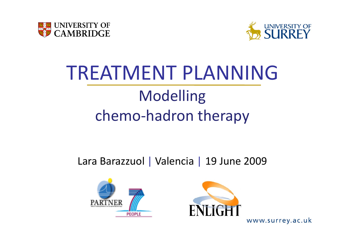



# TREATMENT PLANNINGModelling chemo ‐hadron therapy

#### Lara Barazzuol | Valencia | 19 June 2009



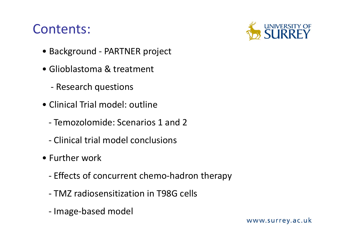#### Contents:

- Background ‐ PARTNER project
- Glioblastoma & treatment
	- ‐ Research questions
- Clinical Trial model: outline
	- ‐ Temozolomide: Scenarios 1 and 2
	- ‐ Clinical trial model conclusions
- Further work
	- ‐ Effects of concurrent chemo‐hadron therapy
	- ‐ TMZ radiosensitization in T98G cells
	- ‐- Image-based model

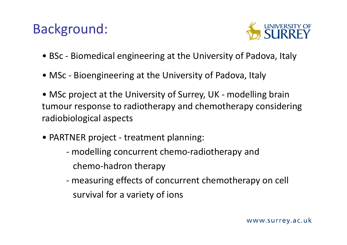#### Background:



- BSc ‐ Biomedical engineering at the University of Padova, Italy
- MSc ‐ Bioengineering at the University of Padova, Italy
- MSc project at the University of Surrey, UK ‐ modelling brain tumour response to radiotherapy and chemotherapy considering radiobiological aspects
- PARTNER project ‐ treatment planning:
	- ‐ modelling concurrent chemo‐radiotherapy and chemo‐hadron therapy
	- ‐ measuring effects of concurrent chemotherapy on cell survival for a variety of ions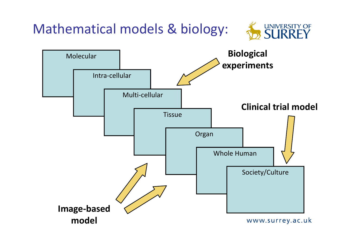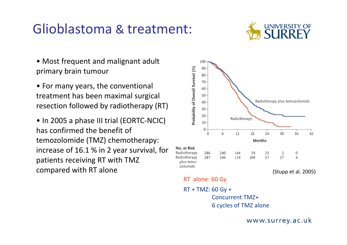#### Glioblastoma & treatment:



- Most frequent and malignant adult primary brain tumour
- For many years, the conventional treatment has been maximal surgical resection followed by radiotherapy (RT)
- In 2005 <sup>a</sup> phase III trial (EORTC‐NCIC) has confirmed the benefit of temozolomide (TMZ) chemotherapy: increase of 16.1 % in 2 year survival, for patients receiving RT with TMZ

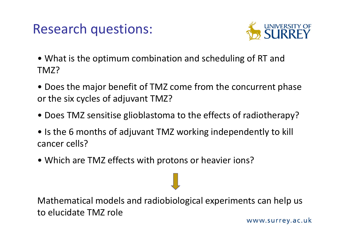### Research questions:



- What is the optimum combination and scheduling of RT and TMZ?
- Does the major benefit of TMZ come from the concurrent phase or the six cycles of adjuvant TMZ?
- Does TMZ sensitise glioblastoma to the effects of radiotherapy?
- Is the 6 months of adjuvant TMZ working independently to kill cancer cells?
- Which are TMZ effects with protons or heavier ions?

Mathematical models and radiobiological experiments can help us to elucidate TMZ role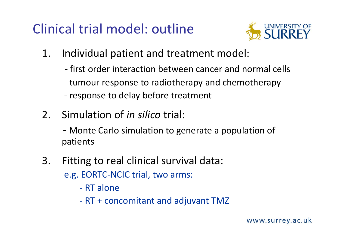### Clinical trial model: outline



- 1. Individual patient and treatment model:
	- ‐ first order interaction between cancer and normal cells
	- ‐ tumour response to radiotherapy and chemotherapy
	- ‐- response to delay before treatment
- 2. Simulation of *in silico* trial:
	- ‐ Monte Carlo simulation to generate <sup>a</sup> population of patients
- 3. Fitting to real clinical survival data:
	- e.g. EORTC‐NCIC trial, two arms:
		- ‐ RT alone
		- ‐ RT + concomitant and adjuvant TMZ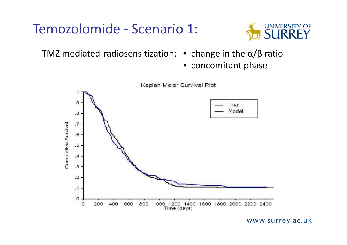#### Temozolomide ‐ Scenario 1:



TMZ mediated‐radiosensitization: • change in the α/β ratio

• concomitant phase

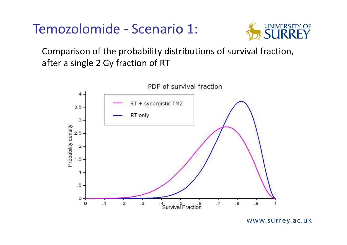#### Temozolomide ‐ Scenario 1:



Comparison of the probability distributions of survival fraction, after a single 2 Gy fraction of RT

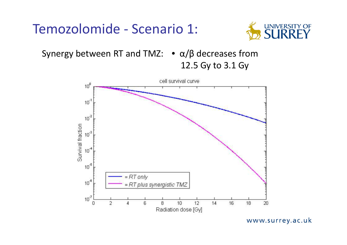#### Temozolomide ‐ Scenario 1:



Synergy between RT and TMZ:  $\bullet \alpha/\beta$  decreases from

12.5 Gy to 3.1 Gy

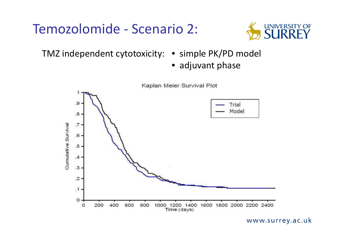#### Temozolomide ‐ Scenario 2:



TMZ independent cytotoxicity: • simple PK/PD model

- 
- adjuvant phase

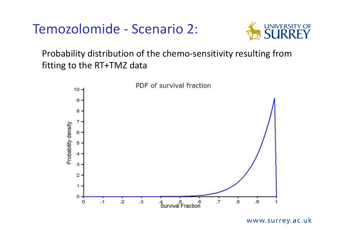#### Temozolomide ‐ Scenario 2:



#### Probability distribution of the chemo‐sensitivity resulting from fitting to the RT+TMZ data

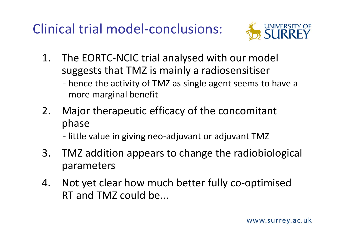### Clinical trial model‐conclusions:



- 1. The EORTC‐NCIC trial analysed with our model suggests that TMZ is mainly <sup>a</sup> radiosensitiser
	- ‐ hence the activity of TMZ as single agent seems to have <sup>a</sup> more marginal benefit
- 2. Major therapeutic efficacy of the concomitant phase
	- ‐ little value in giving neo‐adjuvant or adjuvant TMZ
- 3. TMZ addition appears to change the radiobiological parameters
- 4. Not yet clear how much better fully co‐optimised RT and TMZ could be...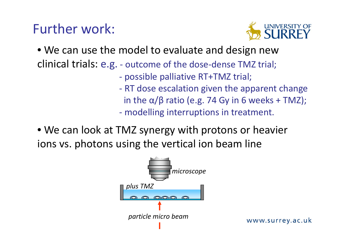#### Further work:



• We can use the model to evaluate and design new clinical trials: e.g. ‐ outcome of the dose‐dense TMZ trial;

- possible palliative RT+TMZ trial;
- ‐ RT dose escalation given the apparent change
	- in the α/β ratio (e.g. 74 Gy in 6 weeks + TMZ);
- ‐modelling interruptions in treatment.
- We can look at TMZ synergy with protons or heavier ions vs. photons using the vertical ion beam line

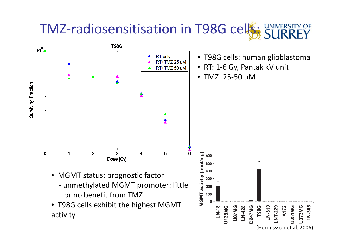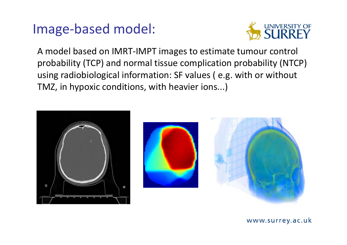#### Image‐based model:



A model based on IMRT‐IMPT images to estimate tumour control probability (TCP) and normal tissue complication probability (NTCP) using radiobiological information: SF values ( e.g. with or without TMZ, in hypoxic conditions, with heavier ions...)